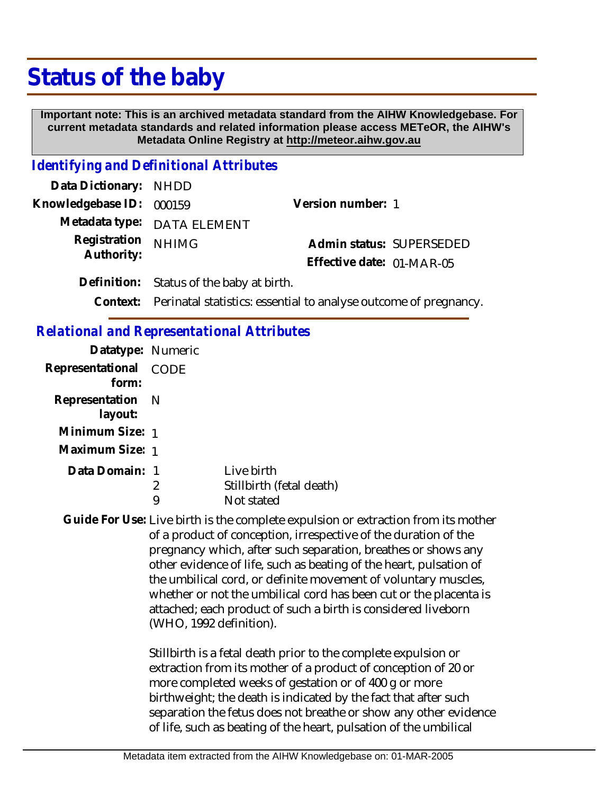## **Status of the baby**

 **Important note: This is an archived metadata standard from the AIHW Knowledgebase. For current metadata standards and related information please access METeOR, the AIHW's Metadata Online Registry at http://meteor.aihw.gov.au**

## *Identifying and Definitional Attributes*

| Data Dictionary: NHDD    |                                          |                           |  |
|--------------------------|------------------------------------------|---------------------------|--|
| Knowledgebase ID: 000159 |                                          | Version number: 1         |  |
|                          | Metadata type: DATA ELEMENT              |                           |  |
| Registration             | <b>NHIMG</b>                             | Admin status: SUPERSEDED  |  |
| Authority:               |                                          | Effective date: 01-MAR-05 |  |
|                          | Definition: Status of the baby at birth. |                           |  |

**Context:** Perinatal statistics: essential to analyse outcome of pregnancy.

## *Relational and Representational Attributes*

| Datatype: Numeric              |   |                          |
|--------------------------------|---|--------------------------|
| Representational CODE<br>form: |   |                          |
| Representation N<br>layout:    |   |                          |
| Minimum Size: 1                |   |                          |
| Maximum Size: 1                |   |                          |
| Data Domain: 1                 |   | Live birth               |
|                                | 2 | Stillbirth (fetal death) |
|                                |   | Not stated               |

Guide For Use: Live birth is the complete expulsion or extraction from its mother of a product of conception, irrespective of the duration of the pregnancy which, after such separation, breathes or shows any other evidence of life, such as beating of the heart, pulsation of the umbilical cord, or definite movement of voluntary muscles, whether or not the umbilical cord has been cut or the placenta is attached; each product of such a birth is considered liveborn (WHO, 1992 definition).

> Stillbirth is a fetal death prior to the complete expulsion or extraction from its mother of a product of conception of 20 or more completed weeks of gestation or of 400 g or more birthweight; the death is indicated by the fact that after such separation the fetus does not breathe or show any other evidence of life, such as beating of the heart, pulsation of the umbilical